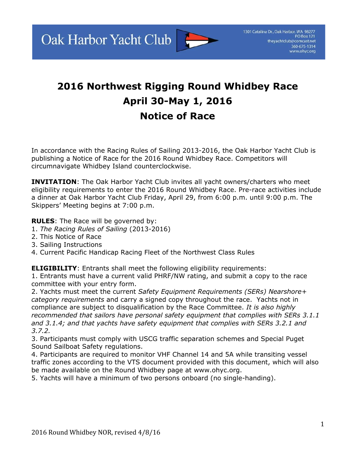Oak Harbor Yacht Club



## **2016 Northwest Rigging Round Whidbey Race April 30-May 1, 2016 Notice of Race**

In accordance with the Racing Rules of Sailing 2013-2016, the Oak Harbor Yacht Club is publishing a Notice of Race for the 2016 Round Whidbey Race. Competitors will circumnavigate Whidbey Island counterclockwise.

**INVITATION:** The Oak Harbor Yacht Club invites all yacht owners/charters who meet eligibility requirements to enter the 2016 Round Whidbey Race. Pre-race activities include a dinner at Oak Harbor Yacht Club Friday, April 29, from 6:00 p.m. until 9:00 p.m. The Skippers' Meeting begins at 7:00 p.m.

**RULES**: The Race will be governed by:

- 1. *The Racing Rules of Sailing* (20132016)
- 2. This Notice of Race
- 3. Sailing Instructions
- 4. Current Pacific Handicap Racing Fleet of the Northwest Class Rules

**ELIGIBILITY:** Entrants shall meet the following eligibility requirements:

1. Entrants must have a current valid PHRF/NW rating, and submit a copy to the race committee with your entry form.

2. Yachts must meet the current *Safety Equipment Requirements (SERs) Nearshore+ category requirements* and carry a signed copy throughout the race. Yachts not in compliance are subject to disqualification by the Race Committee. *It is also highly recommended that sailors have personal safety equipment that complies with SERs 3.1.1 and 3.1.4; and that yachts have safety equipment that complies with SERs 3.2.1 and 3.7.2.*

3. Participants must comply with USCG traffic separation schemes and Special Puget Sound Sailboat Safety regulations.

4. Participants are required to monitor VHF Channel 14 and 5A while transiting vessel traffic zones according to the VTS document provided with this document, which will also be made available on the Round Whidbey page at www.ohyc.org.

5. Yachts will have a minimum of two persons onboard (no singlehanding).